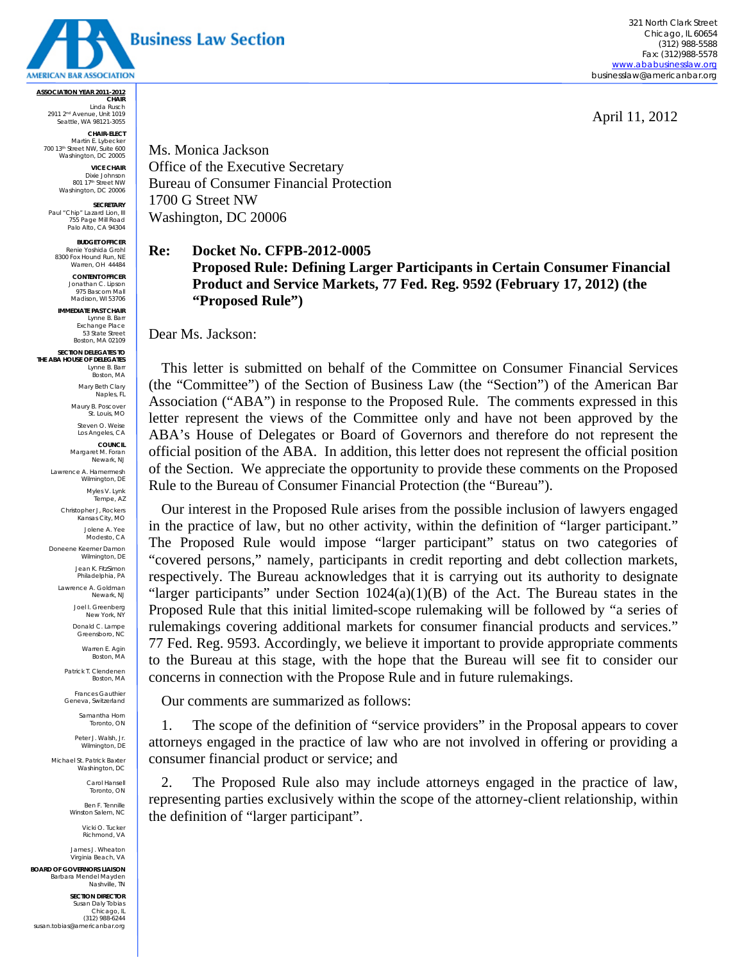

321 North Clark Street Chicago, IL 60654 (312) 988-5588 Fax: (312)988-5578 www.ababusinesslaw.org businesslaw@americanbar.org

April 11, 2012

**ASSOCIATION YEAR 2011-2012 CHAIR**  Linda Rusch 2911 2nd Avenue, Unit 1019 Seattle, WA 98121-3055 **CHAIR-ELECT** 

Martin E. Lybecker 700 13th Street NW, Suite 600 Washington, DC 20005

**VICE CHAIR**  Dixie Johnson<br>801 17<sup>th</sup> Street NW<br>Washington, DC 20006

**SECRETARY Paul "Chip" Lazard Lion, III** 755 Page Mill Road Palo Alto, CA 94304

**BUDGET OFFICER**  Renie Yoshida Groh 8300 Fox Hound Run, NE Warren, OH 44484

> **CONTENT OFFICER**  Jonathan C. Lipson 975 Bascom Mall Madison, WI 53706

**IMMEDIATE PAST CHAIR**  Lynne B. Barr Exchange Place 53 State Street Boston, MA 02109

**SECTION DELEGATES TO THE ABA HOUSE OF DELEGATES**  Lynne B. Barr Boston, MA

Mary Beth Clary Naples, FL

Maury B. Poscover St. Louis, MO Steven O. Weise

Los Angeles, CA **COUNCIL** 

Margaret M. Foran Newark, NJ Lawrence A. Hamermesh

> Wilmington, DE Myles V. Lynk

Tempe, AZ Christopher J, Rockers

Kansas City, MO Jolene A. Yee Modesto, CA

Doneene Keemer Damon Wilmington, DE Jean K. FitzSimon

Philadelphia, PA

Lawrence A. Goldman Newark, NJ

> Joel I. Greenberg New York, NY

Donald C. Lampe Greensboro, NC

Warren E. Agin Boston, MA Patrick T. Clendenen

Boston, MA

Frances Gauthier Geneva, Switzerland Samantha Horn

Toronto, ON Peter J. Walsh, Jr.

Wilmington, DE

Michael St. Patrick Baxter Washington, DC

Carol Hansell Toronto, ON

Ben F. Tennille Winston Salem, NC

> Vicki O. Tucker Richmond, VA

James J. Wheaton Virginia Beach, VA

**BOARD OF GOVERNORS LIAISON** Barbara Mendel Mayden Nashville, TN

**SECTION DIRECTOR** Susan Daly Tobias Chicago, IL (312) 988-6244 susan.tobias@americanbar.org Ms. Monica Jackson Office of the Executive Secretary Bureau of Consumer Financial Protection 1700 G Street NW Washington, DC 20006

## **Re: Docket No. CFPB-2012-0005 Proposed Rule: Defining Larger Participants in Certain Consumer Financial Product and Service Markets, 77 Fed. Reg. 9592 (February 17, 2012) (the "Proposed Rule")**

Dear Ms. Jackson:

This letter is submitted on behalf of the Committee on Consumer Financial Services (the "Committee") of the Section of Business Law (the "Section") of the American Bar Association ("ABA") in response to the Proposed Rule. The comments expressed in this letter represent the views of the Committee only and have not been approved by the ABA's House of Delegates or Board of Governors and therefore do not represent the official position of the ABA. In addition, this letter does not represent the official position of the Section. We appreciate the opportunity to provide these comments on the Proposed Rule to the Bureau of Consumer Financial Protection (the "Bureau").

Our interest in the Proposed Rule arises from the possible inclusion of lawyers engaged in the practice of law, but no other activity, within the definition of "larger participant." The Proposed Rule would impose "larger participant" status on two categories of "covered persons," namely, participants in credit reporting and debt collection markets, respectively. The Bureau acknowledges that it is carrying out its authority to designate "larger participants" under Section  $1024(a)(1)(B)$  of the Act. The Bureau states in the Proposed Rule that this initial limited-scope rulemaking will be followed by "a series of rulemakings covering additional markets for consumer financial products and services." 77 Fed. Reg. 9593. Accordingly, we believe it important to provide appropriate comments to the Bureau at this stage, with the hope that the Bureau will see fit to consider our concerns in connection with the Propose Rule and in future rulemakings.

Our comments are summarized as follows:

1. The scope of the definition of "service providers" in the Proposal appears to cover attorneys engaged in the practice of law who are not involved in offering or providing a consumer financial product or service; and

2. The Proposed Rule also may include attorneys engaged in the practice of law, representing parties exclusively within the scope of the attorney-client relationship, within the definition of "larger participant".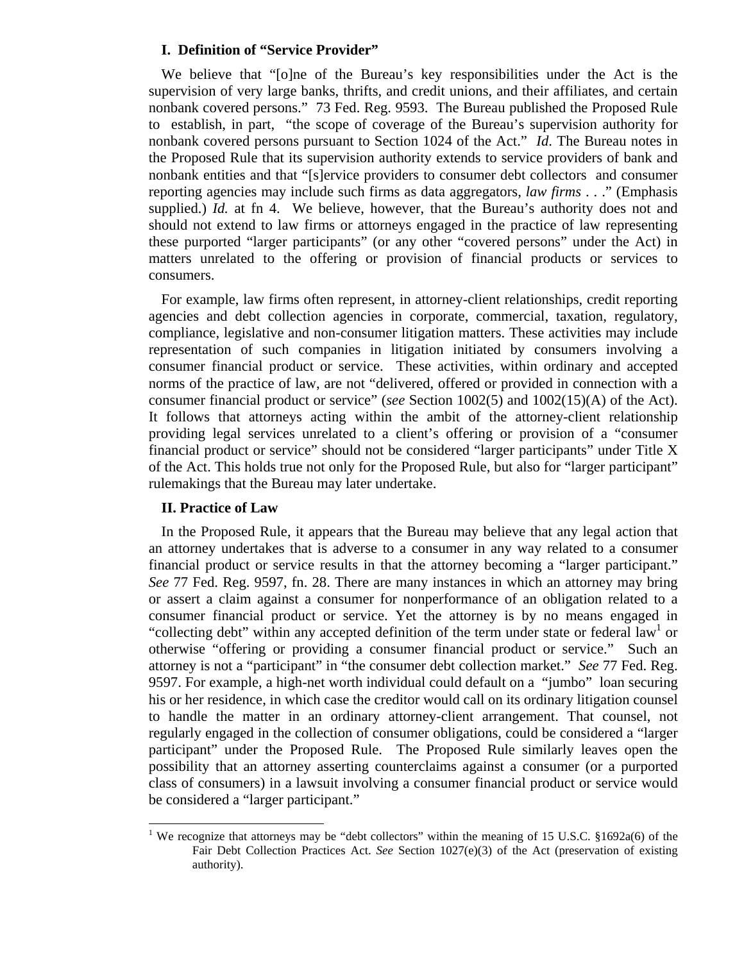## **I. Definition of "Service Provider"**

We believe that "[o]ne of the Bureau's key responsibilities under the Act is the supervision of very large banks, thrifts, and credit unions, and their affiliates, and certain nonbank covered persons." 73 Fed. Reg. 9593. The Bureau published the Proposed Rule to establish, in part, "the scope of coverage of the Bureau's supervision authority for nonbank covered persons pursuant to Section 1024 of the Act." *Id*. The Bureau notes in the Proposed Rule that its supervision authority extends to service providers of bank and nonbank entities and that "[s]ervice providers to consumer debt collectors and consumer reporting agencies may include such firms as data aggregators, *law firms* . . ." (Emphasis supplied.) *Id.* at fn 4. We believe, however, that the Bureau's authority does not and should not extend to law firms or attorneys engaged in the practice of law representing these purported "larger participants" (or any other "covered persons" under the Act) in matters unrelated to the offering or provision of financial products or services to consumers.

For example, law firms often represent, in attorney-client relationships, credit reporting agencies and debt collection agencies in corporate, commercial, taxation, regulatory, compliance, legislative and non-consumer litigation matters. These activities may include representation of such companies in litigation initiated by consumers involving a consumer financial product or service. These activities, within ordinary and accepted norms of the practice of law, are not "delivered, offered or provided in connection with a consumer financial product or service" (*see* Section 1002(5) and 1002(15)(A) of the Act). It follows that attorneys acting within the ambit of the attorney-client relationship providing legal services unrelated to a client's offering or provision of a "consumer financial product or service" should not be considered "larger participants" under Title X of the Act. This holds true not only for the Proposed Rule, but also for "larger participant" rulemakings that the Bureau may later undertake.

## **II. Practice of Law**

l

In the Proposed Rule, it appears that the Bureau may believe that any legal action that an attorney undertakes that is adverse to a consumer in any way related to a consumer financial product or service results in that the attorney becoming a "larger participant." *See* 77 Fed. Reg. 9597, fn. 28. There are many instances in which an attorney may bring or assert a claim against a consumer for nonperformance of an obligation related to a consumer financial product or service. Yet the attorney is by no means engaged in "collecting debt" within any accepted definition of the term under state or federal law<sup>1</sup> or otherwise "offering or providing a consumer financial product or service." Such an attorney is not a "participant" in "the consumer debt collection market." *See* 77 Fed. Reg. 9597. For example, a high-net worth individual could default on a "jumbo" loan securing his or her residence, in which case the creditor would call on its ordinary litigation counsel to handle the matter in an ordinary attorney-client arrangement. That counsel, not regularly engaged in the collection of consumer obligations, could be considered a "larger participant" under the Proposed Rule. The Proposed Rule similarly leaves open the possibility that an attorney asserting counterclaims against a consumer (or a purported class of consumers) in a lawsuit involving a consumer financial product or service would be considered a "larger participant."

<sup>&</sup>lt;sup>1</sup> We recognize that attorneys may be "debt collectors" within the meaning of 15 U.S.C. §1692a(6) of the Fair Debt Collection Practices Act. *See* Section 1027(e)(3) of the Act (preservation of existing authority).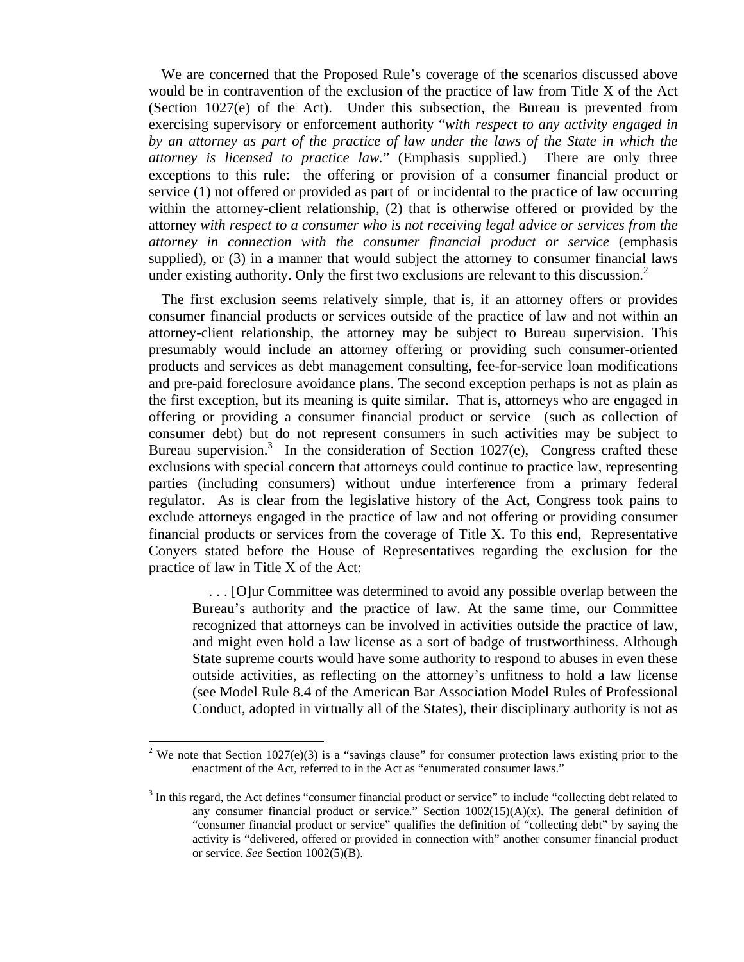We are concerned that the Proposed Rule's coverage of the scenarios discussed above would be in contravention of the exclusion of the practice of law from Title X of the Act (Section 1027(e) of the Act). Under this subsection, the Bureau is prevented from exercising supervisory or enforcement authority "*with respect to any activity engaged in by an attorney as part of the practice of law under the laws of the State in which the attorney is licensed to practice law.*" (Emphasis supplied.) There are only three exceptions to this rule: the offering or provision of a consumer financial product or service (1) not offered or provided as part of or incidental to the practice of law occurring within the attorney-client relationship, (2) that is otherwise offered or provided by the attorney *with respect to a consumer who is not receiving legal advice or services from the attorney in connection with the consumer financial product or service* (emphasis supplied), or (3) in a manner that would subject the attorney to consumer financial laws under existing authority. Only the first two exclusions are relevant to this discussion. $<sup>2</sup>$ </sup>

The first exclusion seems relatively simple, that is, if an attorney offers or provides consumer financial products or services outside of the practice of law and not within an attorney-client relationship, the attorney may be subject to Bureau supervision. This presumably would include an attorney offering or providing such consumer-oriented products and services as debt management consulting, fee-for-service loan modifications and pre-paid foreclosure avoidance plans. The second exception perhaps is not as plain as the first exception, but its meaning is quite similar. That is, attorneys who are engaged in offering or providing a consumer financial product or service (such as collection of consumer debt) but do not represent consumers in such activities may be subject to Bureau supervision.<sup>3</sup> In the consideration of Section 1027(e), Congress crafted these exclusions with special concern that attorneys could continue to practice law, representing parties (including consumers) without undue interference from a primary federal regulator. As is clear from the legislative history of the Act, Congress took pains to exclude attorneys engaged in the practice of law and not offering or providing consumer financial products or services from the coverage of Title X. To this end, Representative Conyers stated before the House of Representatives regarding the exclusion for the practice of law in Title X of the Act:

 . . . [O]ur Committee was determined to avoid any possible overlap between the Bureau's authority and the practice of law. At the same time, our Committee recognized that attorneys can be involved in activities outside the practice of law, and might even hold a law license as a sort of badge of trustworthiness. Although State supreme courts would have some authority to respond to abuses in even these outside activities, as reflecting on the attorney's unfitness to hold a law license (see Model Rule 8.4 of the American Bar Association Model Rules of Professional Conduct, adopted in virtually all of the States), their disciplinary authority is not as

l

<sup>&</sup>lt;sup>2</sup> We note that Section 1027(e)(3) is a "savings clause" for consumer protection laws existing prior to the enactment of the Act, referred to in the Act as "enumerated consumer laws."

 $3$  In this regard, the Act defines "consumer financial product or service" to include "collecting debt related to any consumer financial product or service." Section  $1002(15)(A)(x)$ . The general definition of "consumer financial product or service" qualifies the definition of "collecting debt" by saying the activity is "delivered, offered or provided in connection with" another consumer financial product or service. *See* Section 1002(5)(B).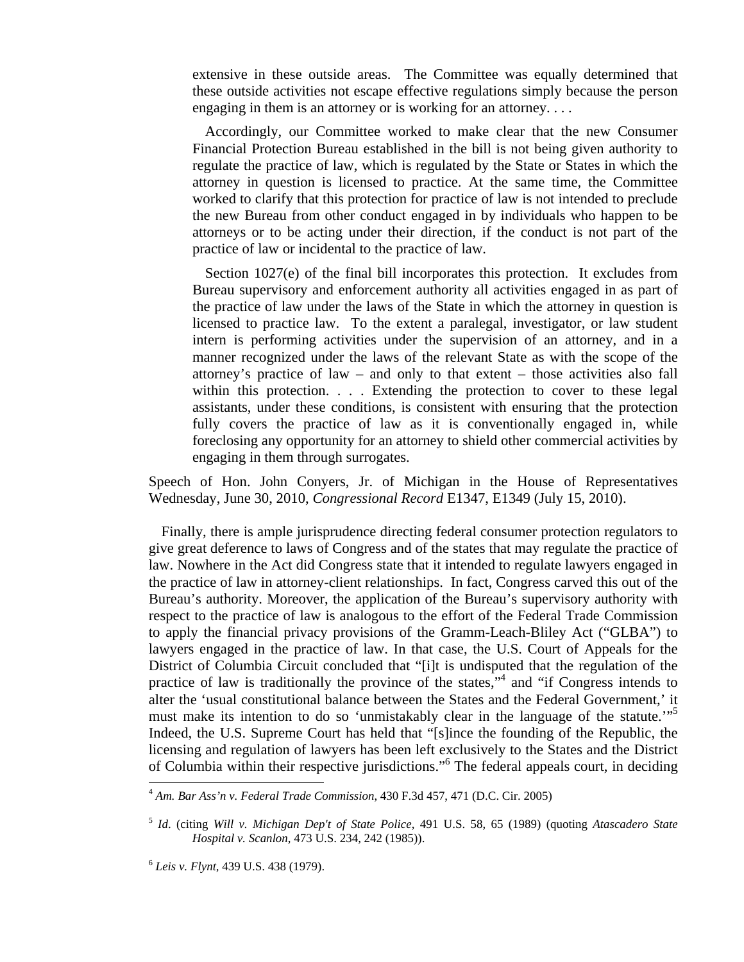extensive in these outside areas. The Committee was equally determined that these outside activities not escape effective regulations simply because the person engaging in them is an attorney or is working for an attorney. . . .

Accordingly, our Committee worked to make clear that the new Consumer Financial Protection Bureau established in the bill is not being given authority to regulate the practice of law, which is regulated by the State or States in which the attorney in question is licensed to practice. At the same time, the Committee worked to clarify that this protection for practice of law is not intended to preclude the new Bureau from other conduct engaged in by individuals who happen to be attorneys or to be acting under their direction, if the conduct is not part of the practice of law or incidental to the practice of law.

Section 1027(e) of the final bill incorporates this protection. It excludes from Bureau supervisory and enforcement authority all activities engaged in as part of the practice of law under the laws of the State in which the attorney in question is licensed to practice law. To the extent a paralegal, investigator, or law student intern is performing activities under the supervision of an attorney, and in a manner recognized under the laws of the relevant State as with the scope of the attorney's practice of law – and only to that extent – those activities also fall within this protection. . . . Extending the protection to cover to these legal assistants, under these conditions, is consistent with ensuring that the protection fully covers the practice of law as it is conventionally engaged in, while foreclosing any opportunity for an attorney to shield other commercial activities by engaging in them through surrogates.

Speech of Hon. John Conyers, Jr. of Michigan in the House of Representatives Wednesday, June 30, 2010, *Congressional Record* E1347, E1349 (July 15, 2010).

Finally, there is ample jurisprudence directing federal consumer protection regulators to give great deference to laws of Congress and of the states that may regulate the practice of law. Nowhere in the Act did Congress state that it intended to regulate lawyers engaged in the practice of law in attorney-client relationships. In fact, Congress carved this out of the Bureau's authority. Moreover, the application of the Bureau's supervisory authority with respect to the practice of law is analogous to the effort of the Federal Trade Commission to apply the financial privacy provisions of the Gramm-Leach-Bliley Act ("GLBA") to lawyers engaged in the practice of law. In that case, the U.S. Court of Appeals for the District of Columbia Circuit concluded that "[i]t is undisputed that the regulation of the practice of law is traditionally the province of the states,"<sup>4</sup> and "if Congress intends to alter the 'usual constitutional balance between the States and the Federal Government,' it must make its intention to do so 'unmistakably clear in the language of the statute."<sup>5</sup> Indeed, the U.S. Supreme Court has held that "[s]ince the founding of the Republic, the licensing and regulation of lawyers has been left exclusively to the States and the District of Columbia within their respective jurisdictions."6 The federal appeals court, in deciding

<sup>4</sup> *Am. Bar Ass'n v. Federal Trade Commission*, 430 F.3d 457, 471 (D.C. Cir. 2005)

<sup>5</sup> *Id*. (citing *Will v. Michigan Dep't of State Police*, 491 U.S. 58, 65 (1989) (quoting *Atascadero State Hospital v. Scanlon*, 473 U.S. 234, 242 (1985)).

<sup>6</sup> *Leis v. Flynt*, 439 U.S. 438 (1979).